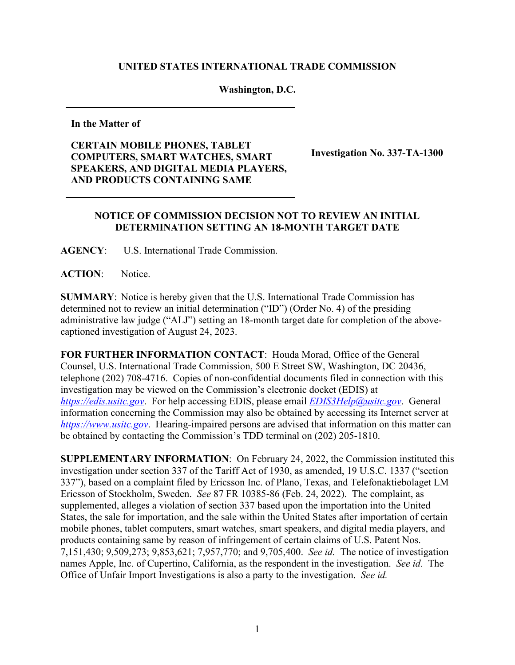## **UNITED STATES INTERNATIONAL TRADE COMMISSION**

## **Washington, D.C.**

**In the Matter of**

**CERTAIN MOBILE PHONES, TABLET COMPUTERS, SMART WATCHES, SMART SPEAKERS, AND DIGITAL MEDIA PLAYERS, AND PRODUCTS CONTAINING SAME**

**Investigation No. 337-TA-1300**

## **NOTICE OF COMMISSION DECISION NOT TO REVIEW AN INITIAL DETERMINATION SETTING AN 18-MONTH TARGET DATE**

**AGENCY**: U.S. International Trade Commission.

**ACTION**: Notice.

**SUMMARY**: Notice is hereby given that the U.S. International Trade Commission has determined not to review an initial determination ("ID") (Order No. 4) of the presiding administrative law judge ("ALJ") setting an 18-month target date for completion of the abovecaptioned investigation of August 24, 2023.

**FOR FURTHER INFORMATION CONTACT**: Houda Morad, Office of the General Counsel, U.S. International Trade Commission, 500 E Street SW, Washington, DC 20436, telephone (202) 708-4716. Copies of non-confidential documents filed in connection with this investigation may be viewed on the Commission's electronic docket (EDIS) at *[https://edis.usitc.gov](https://edis.usitc.gov/)*. For help accessing EDIS, please email *[EDIS3Help@usitc.gov](mailto:EDIS3Help@usitc.gov)*. General information concerning the Commission may also be obtained by accessing its Internet server at *[https://www.usitc.gov](https://www.usitc.gov/)*. Hearing-impaired persons are advised that information on this matter can be obtained by contacting the Commission's TDD terminal on (202) 205-1810.

**SUPPLEMENTARY INFORMATION**: On February 24, 2022, the Commission instituted this investigation under section 337 of the Tariff Act of 1930, as amended, 19 U.S.C. 1337 ("section 337"), based on a complaint filed by Ericsson Inc. of Plano, Texas, and Telefonaktiebolaget LM Ericsson of Stockholm, Sweden. *See* 87 FR 10385-86 (Feb. 24, 2022). The complaint, as supplemented, alleges a violation of section 337 based upon the importation into the United States, the sale for importation, and the sale within the United States after importation of certain mobile phones, tablet computers, smart watches, smart speakers, and digital media players, and products containing same by reason of infringement of certain claims of U.S. Patent Nos. 7,151,430; 9,509,273; 9,853,621; 7,957,770; and 9,705,400. *See id.* The notice of investigation names Apple, Inc. of Cupertino, California, as the respondent in the investigation. *See id.* The Office of Unfair Import Investigations is also a party to the investigation. *See id.*